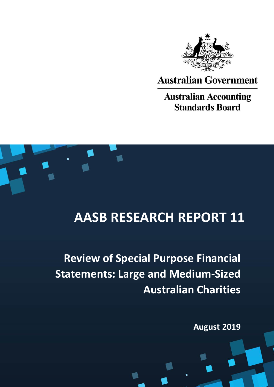

# **Australian Government**

**Australian Accounting Standards Board** 



# **AASB RESEARCH REPORT 11**

**Review of Special Purpose Financial Statements: Large and Medium-Sized Australian Charities**

**August 2019**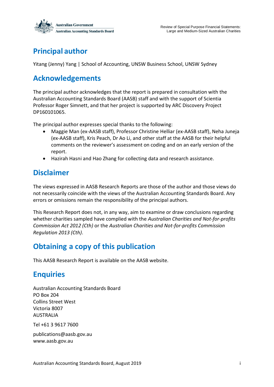

# **Principal author**

Yitang (Jenny) Yang | School of Accounting, UNSW Business School, UNSW Sydney

# **Acknowledgements**

The principal author acknowledges that the report is prepared in consultation with the Australian Accounting Standards Board (AASB) staff and with the support of Scientia Professor Roger Simnett, and that her project is supported by ARC Discovery Project DP160101065.

The principal author expresses special thanks to the following:

- Maggie Man (ex-AASB staff), Professor Christine Helliar (ex-AASB staff), Neha Juneja (ex-AASB staff), Kris Peach, Dr Ao Li, and other staff at the AASB for their helpful comments on the reviewer's assessment on coding and on an early version of the report.
- Hazirah Hasni and Hao Zhang for collecting data and research assistance.

### **Disclaimer**

The views expressed in AASB Research Reports are those of the author and those views do not necessarily coincide with the views of the Australian Accounting Standards Board. Any errors or omissions remain the responsibility of the principal authors.

This Research Report does not, in any way, aim to examine or draw conclusions regarding whether charities sampled have complied with the *Australian Charities and Not-for-profits Commission Act 2012 (Cth)* or the *Australian Charities and Not-for-profits Commission Regulation 2013 (Cth)*.

# **Obtaining a copy of this publication**

This AASB Research Report is available on the AASB website.

# **Enquiries**

Australian Accounting Standards Board PO Box 204 Collins Street West Victoria 8007 AUSTRALIA

Tel +61 3 9617 7600

publications@aasb.gov.au www.aasb.gov.au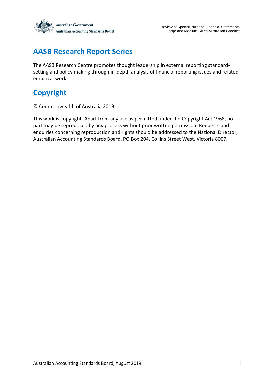

# **AASB Research Report Series**

The AASB Research Centre promotes thought leadership in external reporting standardsetting and policy making through in-depth analysis of financial reporting issues and related empirical work.

# **Copyright**

© Commonwealth of Australia 2019

This work is copyright. Apart from any use as permitted under the Copyright Act 1968, no part may be reproduced by any process without prior written permission. Requests and enquiries concerning reproduction and rights should be addressed to the National Director, Australian Accounting Standards Board, PO Box 204, Collins Street West, Victoria 8007.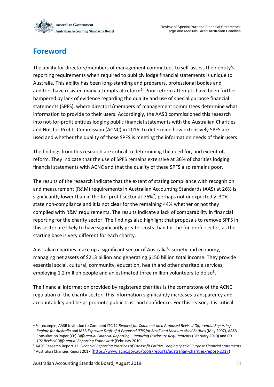

Review of Special Purpose Financial Statements: Large and Medium-Sized Australian Charities

## <span id="page-3-0"></span>**Foreword**

The ability for directors/members of management committees to self-assess their entity's reporting requirements when required to publicly lodge financial statements is unique to Australia. This ability has been long-standing and preparers, professional bodies and auditors have resisted many attempts at reform<sup>1</sup>. Prior reform attempts have been further hampered by lack of evidence regarding the quality and use of special purpose financial statements (SPFS), where directors/members of management committees determine what information to provide to their users. Accordingly, the AASB commissioned this research into not-for-profit entities lodging public financial statements with the Australian Charities and Not-for-Profits Commission (ACNC) in 2016, to determine how extensively SPFS are used and whether the quality of those SPFS is meeting the information needs of their users.

The findings from this research are critical to determining the need for, and extent of, reform. They indicate that the use of SPFS remains extensive at 36% of charities lodging financial statements with ACNC and that the quality of these SPFS also remains poor.

The results of the research indicate that the extent of stating compliance with recognition and measurement (R&M) requirements in Australian Accounting Standards (AAS) at 26% is significantly lower than in the for-profit sector at 76%<sup>2</sup>, perhaps not unexpectedly. 30% state non-compliance and it is not clear for the remaining 44% whether or not they complied with R&M requirements. The results indicate a lack of comparability in financial reporting for the charity sector. The findings also highlight that proposals to remove SPFS in this sector are likely to have significantly greater costs than for the for-profit sector, as the starting base is very different for each charity.

Australian charities make up a significant sector of Australia's society and economy, managing net assets of \$213 billion and generating \$150 billion total income. They provide essential social, cultural, community, education, health and other charitable services, employing 1.2 million people and an estimated three million volunteers to do so<sup>3</sup>.

The financial information provided by registered charities is the cornerstone of the ACNC regulation of the charity sector. This information significantly increases transparency and accountability and helps promote public trust and confidence. For this reason, it is critical

<sup>1</sup> For example, AASB Invitation to Comment ITC 12 *Request for Comment on a Proposed Revised Differential Reporting Regime for Australia* and IASB *Exposure Draft of A Proposed IFRS for Small and Medium-sized Entities*(May 2007), AASB Consultation Paper (CP) *Differential Financial Reporting – Reducing Disclosure Requirements* (February 2010) and ED *192 Revised Differential Reporting Framework* (February 2010).

<sup>2</sup> AASB Research Report 12: *Financial Reporting Practices of For-Profit Entities Lodging Special Purpose Financial Statements* <sup>3</sup> Australian Charities Report 2017 [\(https://www.acnc.gov.au/tools/reports/australian-charities-report-2017\)](https://www.acnc.gov.au/tools/reports/australian-charities-report-2017)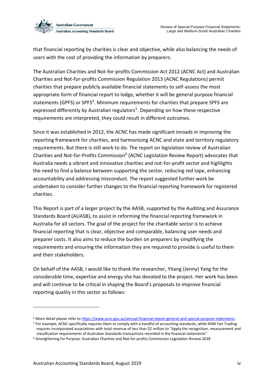

that financial reporting by charities is clear and objective, while also balancing the needs of users with the cost of providing the information by preparers.

The Australian Charities and Not-for-profits Commission Act 2012 (ACNC Act) and Australian Charities and Not-for-profits Commission Regulation 2013 (ACNC Regulations) permit charities that prepare publicly available financial statements to self-assess the most appropriate form of financial report to lodge, whether it will be general purpose financial statements (GPFS) or SPFS<sup>4</sup>. Minimum requirements for charities that prepare SPFS are expressed differently by Australian regulators<sup>5</sup>. Depending on how these respective requirements are interpreted, they could result in different outcomes.

Since it was established in 2012, the ACNC has made significant inroads in improving the reporting framework for charities, and harmonising ACNC and state and territory regulatory requirements. But there is still work to do. The report on legislation review of Australian Charities and Not-for-Profits Commission<sup>6</sup> (ACNC Legislation Review Report) advocates that Australia needs a vibrant and innovative charities and not-for-profit sector and highlights the need to find a balance between supporting the sector, reducing red tape, enhancing accountability and addressing misconduct. The report suggested further work be undertaken to consider further changes to the financial reporting framework for registered charities.

This Report is part of a larger project by the AASB, supported by the Auditing and Assurance Standards Board (AUASB), to assist in reforming the financial reporting framework in Australia for all sectors. The goal of the project for the charitable sector is to achieve financial reporting that is clear, objective and comparable, balancing user needs and preparer costs. It also aims to reduce the burden on preparers by simplifying the requirements and ensuring the information they are required to provide is useful to them and their stakeholders.

On behalf of the AASB, I would like to thank the researcher, Yitang (Jenny) Yang for the considerable time, expertise and energy she has devoted to the project. Her work has been and will continue to be critical in shaping the Board's proposals to improve financial reporting quality in this sector as follows:

<sup>4</sup> More detail please refer t[o https://www.acnc.gov.au/annual-financial-report-general-and-special-purpose-statements.](https://www.acnc.gov.au/annual-financial-report-general-and-special-purpose-statements)

<sup>5</sup> For example, ACNC specifically requires them to comply with a handful of accounting standards, while NSW Fair Trading requires incorporated associations with total revenue of less than \$2 million to "Apply the recognition, measurement and classification requirements of Australian Standards transactions recorded in the financial statements".

<sup>6</sup> Strengthening for Purpose: Australian Charities and Not-for-profits Commission Legislation Review 2018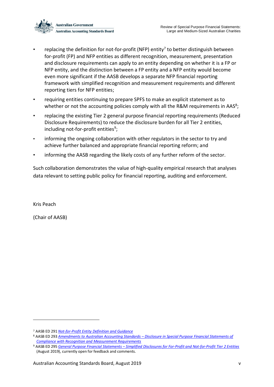

- replacing the definition for not-for-profit (NFP) entity<sup>7</sup> to better distinguish between for-profit (FP) and NFP entities as different recognition, measurement, presentation and disclosure requirements can apply to an entity depending on whether it is a FP or NFP entity, and the distinction between a FP entity and a NFP entity would become even more significant if the AASB develops a separate NFP financial reporting framework with simplified recognition and measurement requirements and different reporting tiers for NFP entities;
- requiring entities continuing to prepare SPFS to make an explicit statement as to whether or not the accounting policies comply with all the R&M requirements in AAS<sup>8</sup>;
- replacing the existing Tier 2 general purpose financial reporting requirements (Reduced Disclosure Requirements) to reduce the disclosure burden for all Tier 2 entities, including not-for-profit entities<sup>9</sup>;
- informing the ongoing collaboration with other regulators in the sector to try and achieve further balanced and appropriate financial reporting reform; and
- informing the AASB regarding the likely costs of any further reform of the sector.

Such collaboration demonstrates the value of high-quality empirical research that analyses data relevant to setting public policy for financial reporting, auditing and enforcement.

Kris Peach

1

(Chair of AASB)

<sup>7</sup> AASB ED 291 *[Not-for-Profit Entity Definition and Guidance](https://www.aasb.gov.au/admin/file/content105/c9/ACCED291_06-19.pdf)*

<sup>8</sup> AASB ED 293 *Amendments to Australian Accounting Standards – [Disclosure in Special Purpose Financial Statements of](https://www.reuters.com/article/us-vanguard-climate/vanguard-seeks-corporate-disclosure-on-risks-from-climate-change-idUSKCN1AU1KJhttps:/www.aasb.gov.au/admin/file/content105/c9/ACCED293_07-19.pdf)  [Compliance with Recognition and Measurement Requirements](https://www.reuters.com/article/us-vanguard-climate/vanguard-seeks-corporate-disclosure-on-risks-from-climate-change-idUSKCN1AU1KJhttps:/www.aasb.gov.au/admin/file/content105/c9/ACCED293_07-19.pdf)*

<sup>9</sup> AASB ED 295 *General Purpose Financial Statements – [Simplified Disclosures for For-Profit and Not-for-Profit Tier 2 Entities](https://www.aasb.gov.au/admin/file/content105/c9/ACCED295_08-19.pdf)* (August 2019), currently open for feedback and comments.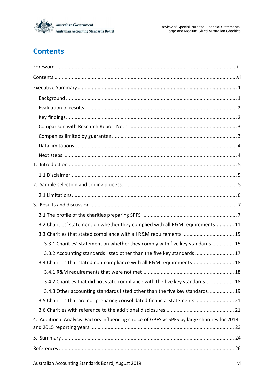

# <span id="page-6-0"></span>**Contents**

| 3.2 Charities' statement on whether they complied with all R&M requirements 11                 |
|------------------------------------------------------------------------------------------------|
| 3.3 Charities that stated compliance with all R&M requirements  15                             |
| 3.3.1 Charities' statement on whether they comply with five key standards  15                  |
| 3.3.2 Accounting standards listed other than the five key standards  17                        |
| 3.4 Charities that stated non-compliance with all R&M requirements 18                          |
|                                                                                                |
| 3.4.2 Charities that did not state compliance with the five key standards 18                   |
| 3.4.3 Other accounting standards listed other than the five key standards 19                   |
| 3.5 Charities that are not preparing consolidated financial statements  21                     |
|                                                                                                |
| 4. Additional Analysis: Factors influencing choice of GPFS vs SPFS by large charities for 2014 |
|                                                                                                |
|                                                                                                |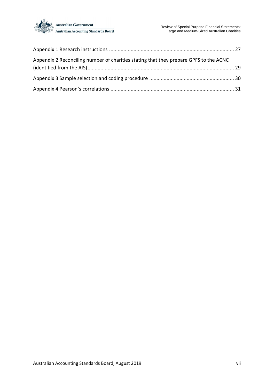

| Appendix 2 Reconciling number of charities stating that they prepare GPFS to the ACNC |  |
|---------------------------------------------------------------------------------------|--|
|                                                                                       |  |
|                                                                                       |  |
|                                                                                       |  |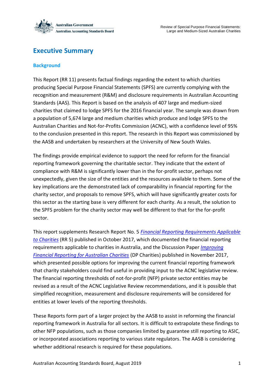

### <span id="page-8-0"></span>**Executive Summary**

#### <span id="page-8-1"></span>**Background**

This Report (RR 11) presents factual findings regarding the extent to which charities producing Special Purpose Financial Statements (SPFS) are currently complying with the recognition and measurement (R&M) and disclosure requirements in Australian Accounting Standards (AAS). This Report is based on the analysis of 407 large and medium-sized charities that claimed to lodge SPFS for the 2016 financial year. The sample was drawn from a population of 5,674 large and medium charities which produce and lodge SPFS to the Australian Charities and Not-for-Profits Commission (ACNC), with a confidence level of 95% to the conclusion presented in this report. The research in this Report was commissioned by the AASB and undertaken by researchers at the University of New South Wales.

The findings provide empirical evidence to support the need for reform for the financial reporting framework governing the charitable sector. They indicate that the extent of compliance with R&M is significantly lower than in the for-profit sector, perhaps not unexpectedly, given the size of the entities and the resources available to them. Some of the key implications are the demonstrated lack of comparability in financial reporting for the charity sector, and proposals to remove SPFS, which will have significantly greater costs for this sector as the starting base is very different for each charity. As a result, the solution to the SPFS problem for the charity sector may well be different to that for the for-profit sector.

This report supplements Research Report No. 5 *[Financial Reporting Requirements Applicable](https://www.aasb.gov.au/admin/file/content102/c3/AASB_RR_05_10-17.pdf)  [to Charities](https://www.aasb.gov.au/admin/file/content102/c3/AASB_RR_05_10-17.pdf)* (RR 5) published in October 2017, which documented the financial reporting requirements applicable to charities in Australia, and the Discussion Paper *[Improving](https://www.aasb.gov.au/admin/file/content102/c3/ACCDP_IFRAC_11-17.pdf)  [Financial Reporting for Australian Charities](https://www.aasb.gov.au/admin/file/content102/c3/ACCDP_IFRAC_11-17.pdf)* (DP Charities) published in November 2017, which presented possible options for improving the current financial reporting framework that charity stakeholders could find useful in providing input to the ACNC legislative review. The financial reporting thresholds of not-for-profit (NFP) private sector entities may be revised as a result of the ACNC Legislative Review recommendations, and it is possible that simplified recognition, measurement and disclosure requirements will be considered for entities at lower levels of the reporting thresholds.

These Reports form part of a larger project by the AASB to assist in reforming the financial reporting framework in Australia for all sectors. It is difficult to extrapolate these findings to other NFP populations, such as those companies limited by guarantee still reporting to ASIC, or incorporated associations reporting to various state regulators. The AASB is considering whether additional research is required for these populations.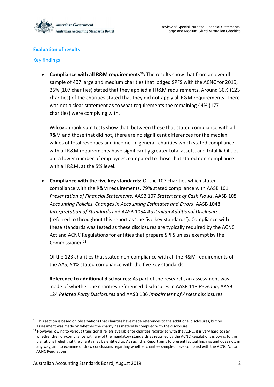

#### <span id="page-9-0"></span>**Evaluation of results**

#### <span id="page-9-1"></span>Key findings

<u>.</u>

• **Compliance with all R&M requirements<sup>10</sup>:** The results show that from an overall sample of 407 large and medium charities that lodged SPFS with the ACNC for 2016, 26% (107 charities) stated that they applied all R&M requirements. Around 30% (123 charities) of the charities stated that they did not apply all R&M requirements. There was not a clear statement as to what requirements the remaining 44% (177 charities) were complying with.

Wilcoxon rank-sum tests show that, between those that stated compliance with all R&M and those that did not, there are no significant differences for the median values of total revenues and income. In general, charities which stated compliance with all R&M requirements have significantly greater total assets, and total liabilities, but a lower number of employees, compared to those that stated non-compliance with all R&M, at the 5% level.

• **Compliance with the five key standards:** Of the 107 charities which stated compliance with the R&M requirements, 79% stated compliance with AASB 101 *Presentation of Financial Statements*, AASB 107 *Statement of Cash Flows*, AASB 108 *Accounting Policies, Changes in Accounting Estimates and Errors*, AASB 1048 *Interpretation of Standards* and AASB 1054 *Australian Additional Disclosures* (referred to throughout this report as 'the five key standards'). Compliance with these standards was tested as these disclosures are typically required by the ACNC Act and ACNC Regulations for entities that prepare SPFS unless exempt by the Commissioner.<sup>11</sup>

Of the 123 charities that stated non-compliance with all the R&M requirements of the AAS, 54% stated compliance with the five key standards.

**Reference to additional disclosures:** As part of the research, an assessment was made of whether the charities referenced disclosures in AASB 118 *Revenue*, AASB 124 *Related Party Disclosures* and AASB 136 *Impairment of Assets* disclosures

 $10$  This section is based on observations that charities have made references to the additional disclosures, but no assessment was made on whether the charity has materially complied with the disclosure.

<sup>&</sup>lt;sup>11</sup> However, owing to variou[s transitional reliefs](https://www.acnc.gov.au/for-charities/manage-your-charity/obligations-acnc/reporting-annually-acnc/transitional-reporting) available for charities registered with the ACNC, it is very hard to say whether the non-compliance with any of the mandatory standards as required by the ACNC Regulations is owing to the transitional relief that the charity may be entitled to. As such this Report aims to present factual findings and does not, in any way, aim to examine or draw conclusions regarding whether charities sampled have complied with the ACNC Act or ACNC Regulations.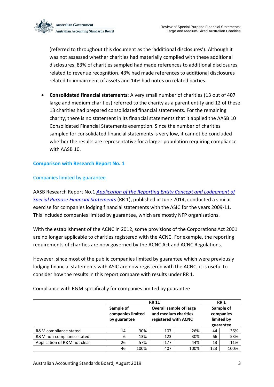

(referred to throughout this document as the 'additional disclosures'). Although it was not assessed whether charities had materially complied with these additional disclosures, 83% of charities sampled had made references to additional disclosures related to revenue recognition, 43% had made references to additional disclosures related to impairment of assets and 14% had notes on related parties.

• **Consolidated financial statements:** A very small number of charities (13 out of 407 large and medium charities) referred to the charity as a parent entity and 12 of these 13 charities had prepared consolidated financial statements. For the remaining charity, there is no statement in its financial statements that it applied the AASB 10 Consolidated Financial Statements exemption. Since the number of charities sampled for consolidated financial statements is very low, it cannot be concluded whether the results are representative for a larger population requiring compliance with AASB 10.

#### <span id="page-10-0"></span>**Comparison with Research Report No. 1**

#### <span id="page-10-1"></span>Companies limited by guarantee

AASB Research Report No.1 *[Application of the Reporting Entity Concept and Lodgement of](https://www.aasb.gov.au/admin/file/content102/c3/AASB_RR-1_06-14_Reporting_Entities_and_SPFSs.pdf)  [Special Purpose Financial Statements](https://www.aasb.gov.au/admin/file/content102/c3/AASB_RR-1_06-14_Reporting_Entities_and_SPFSs.pdf)* (RR 1), published in June 2014, conducted a similar exercise for companies lodging financial statements with the ASIC for the years 2009-11. This included companies limited by guarantee, which are mostly NFP organisations.

With the establishment of the ACNC in 2012, some provisions of the Corporations Act 2001 are no longer applicable to charities registered with the ACNC. For example, the reporting requirements of charities are now governed by the ACNC Act and ACNC Regulations.

However, since most of the public companies limited by guarantee which were previously lodging financial statements with ASIC are now registered with the ACNC, it is useful to consider how the results in this report compare with results under RR 1.

|                              |                                                | <b>RR 11</b> |                                              |                                |     |                                                   |  |
|------------------------------|------------------------------------------------|--------------|----------------------------------------------|--------------------------------|-----|---------------------------------------------------|--|
|                              | Sample of<br>companies limited<br>by guarantee |              | and medium charities<br>registered with ACNC | <b>Overall sample of large</b> |     | Sample of<br>companies<br>limited by<br>guarantee |  |
| R&M compliance stated        | 14                                             | 30%          | 107                                          | 26%                            | 44  | 36%                                               |  |
| R&M non-compliance stated    | 6                                              | 13%          | 123                                          | 30%                            | 66  | 53%                                               |  |
| Application of R&M not clear | 26                                             | 57%          | 177                                          | 44%                            | 13  | 11%                                               |  |
|                              | 46                                             | 100%         | 407                                          | 100%                           | 123 | 100%                                              |  |

Compliance with R&M specifically for companies limited by guarantee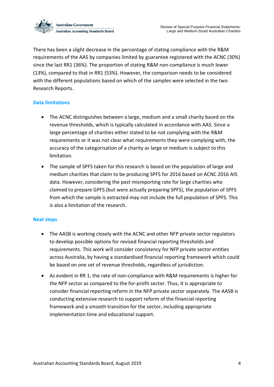

There has been a slight decrease in the percentage of stating compliance with the R&M requirements of the AAS by companies limited by guarantee registered with the ACNC (30%) since the last RR1 (36%). The proportion of stating R&M non-compliance is much lower (13%), compared to that in RR1 (53%). However, the comparison needs to be considered with the different populations based on which of the samples were selected in the two Research Reports.

#### <span id="page-11-0"></span>**Data limitations**

- The ACNC distinguishes between a large, medium and a small charity based on the revenue thresholds, which is typically calculated in accordance with AAS. Since a large percentage of charities either stated to be not complying with the R&M requirements or it was not clear what requirements they were complying with, the accuracy of the categorisation of a charity as large or medium is subject to this limitation.
- The sample of SPFS taken for this research is based on the population of large and medium charities that claim to be producing SPFS for 2016 based on ACNC 2016 AIS data. However, considering the past misreporting rate for large charities who claimed to prepare GPFS (but were actually preparing SPFS), the population of SPFS from which the sample is extracted may not include the full population of SPFS. This is also a limitation of the research.

#### <span id="page-11-1"></span>**Next steps**

- The AASB is working closely with the ACNC and other NFP private sector regulators to develop possible options for revised financial reporting thresholds and requirements. This work will consider consistency for NFP private sector entities across Australia, by having a standardised financial reporting framework which could be based on one set of revenue thresholds, regardless of jurisdiction.
- As evident in RR 1, the rate of non-compliance with R&M requirements is higher for the NFP sector as compared to the for-profit sector. Thus, it is appropriate to consider financial reporting reform in the NFP private sector separately. The AASB is conducting extensive research to support reform of the financial reporting framework and a smooth transition for the sector, including appropriate implementation time and educational support.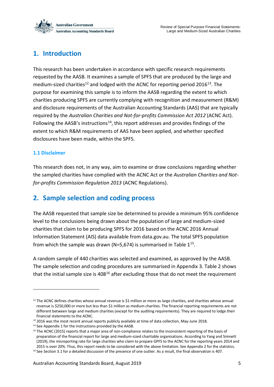

### <span id="page-12-0"></span>**1. Introduction**

This research has been undertaken in accordance with specific research requirements requested by the AASB. It examines a sample of SPFS that are produced by the large and medium-sized charities<sup>12</sup> and lodged with the ACNC for reporting period 2016<sup>13</sup>. The purpose for examining this sample is to inform the AASB regarding the extent to which charities producing SPFS are currently complying with recognition and measurement (R&M) and disclosure requirements of the Australian Accounting Standards (AAS) that are typically required by the *[Australian Charities and Not-for-profits Commission Act 2012](https://www.legislation.gov.au/Details/C2014C00015)* (ACNC Act). Following the AASB's instructions<sup>14</sup>, this report addresses and provides findings of the extent to which R&M requirements of AAS have been applied, and whether specified disclosures have been made, within the SPFS.

#### <span id="page-12-1"></span>**1.1 Disclaimer**

1

This research does not, in any way, aim to examine or draw conclusions regarding whether the sampled charities have complied with the ACNC Act or the *Australian Charities and Notfor-profits Commission Regulation 2013* (ACNC Regulations).

### <span id="page-12-2"></span>**2. Sample selection and coding process**

The AASB requested that sample size be determined to provide a minimum 95% confidence level to the conclusions being drawn about the population of large and medium-sized charities that claim to be producing SPFS for 2016 based on the ACNC 2016 Annual Information Statement (AIS) data available from data.gov.au. The total SPFS population from which the sample was drawn (N=5,674) is summarised in Table  $1^{15}$ .

A random sample of 440 charities was selected and examined, as approved by the AASB. The sample selection and coding procedures are summarised in Appendix 3. Table 2 shows that the initial sample size is  $408^{16}$  after excluding those that do not meet the requirement

 $12$  The ACNC defines charities whose annual revenue is \$1 million or more as large charities, and charities whose annual revenue is \$250,000 or more but less than \$1 million as medium charities. The financial reporting requirements are not different between large and medium charities (except for the auditing requirements). They are required to lodge their financial statements to the ACNC.

<sup>&</sup>lt;sup>13</sup> 2016 was the most recent annual reports publicly available at time of data collection, May-June 2018.

<sup>&</sup>lt;sup>14</sup> See Appendix 1 for the instructions provided by the AASB.

<sup>&</sup>lt;sup>15</sup> The ACNC (2015) reports that a major area of non-compliance relates to the inconsistent reporting of the basis of preparation of the financial report for large and medium-sized charitable organisations. According to Yang and Simnett (2019), the misreporting rate for large charities who claim to prepare GPFS to the ACNC for the reporting years 2014 and 2015 is over 20%. Thus, this report needs to be considered with the above limitation. See Appendix 2 for the statistics.

<sup>&</sup>lt;sup>16</sup> See Section 3.1 for a detailed discussion of the presence of one outlier. As a result, the final observation is 407.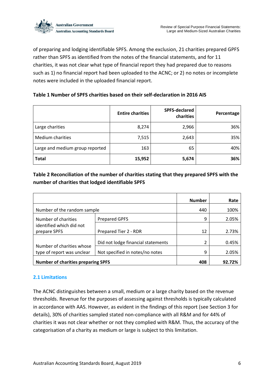

of preparing and lodging identifiable SPFS. Among the exclusion, 21 charities prepared GPFS rather than SPFS as identified from the notes of the financial statements, and for 11 charities, it was not clear what type of financial report they had prepared due to reasons such as 1) no financial report had been uploaded to the ACNC; or 2) no notes or incomplete notes were included in the uploaded financial report.

#### **Table 1 Number of SPFS charities based on their self-declaration in 2016 AIS**

|                                 | <b>Entire charities</b> | <b>SPFS-declared</b><br>charities | Percentage |
|---------------------------------|-------------------------|-----------------------------------|------------|
| Large charities                 | 8,274                   | 2,966                             | 36%        |
| <b>Medium charities</b>         | 7,515                   | 2,643                             | 35%        |
| Large and medium group reported | 163                     | 65                                | 40%        |
| <b>Total</b>                    | 15,952                  | 5,674                             | 36%        |

#### **Table 2 Reconciliation of the number of charities stating that they prepared SPFS with the number of charities that lodged identifiable SPFS**

|                                           |                                    | <b>Number</b> | Rate   |
|-------------------------------------------|------------------------------------|---------------|--------|
| Number of the random sample               | 440                                | 100%          |        |
| Number of charities                       | <b>Prepared GPFS</b>               | 9             | 2.05%  |
| identified which did not<br>prepare SPFS  | Prepared Tier 2 - RDR              | 12            | 2.73%  |
| Number of charities whose                 | Did not lodge financial statements | 2             | 0.45%  |
| type of report was unclear                | Not specified in notes/no notes    | 9             | 2.05%  |
| <b>Number of charities preparing SPFS</b> |                                    | 408           | 92.72% |

#### <span id="page-13-0"></span>**2.1 Limitations**

The ACNC distinguishes between a small, medium or a large charity based on the revenue thresholds. Revenue for the purposes of assessing against thresholds is typically calculated in accordance with AAS. However, as evident in the findings of this report (see Section 3 for details), 30% of charities sampled stated non-compliance with all R&M and for 44% of charities it was not clear whether or not they complied with R&M. Thus, the accuracy of the categorisation of a charity as medium or large is subject to this limitation.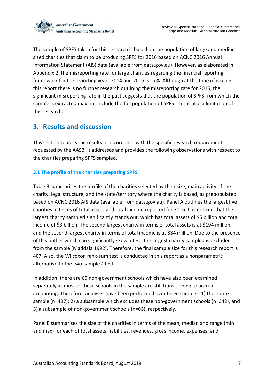

The sample of SPFS taken for this research is based on the population of large and mediumsized charities that claim to be producing SPFS for 2016 based on ACNC 2016 Annual Information Statement (AIS) data (available from data.gov.au). However, as elaborated in Appendix 2, the misreporting rate for large charities regarding the financial reporting framework for the reporting years 2014 and 2015 is 17%. Although at the time of issuing this report there is no further research outlining the misreporting rate for 2016, the significant misreporting rate in the past suggests that the population of SPFS from which the sample is extracted may not include the full population of SPFS. This is also a limitation of this research.

### <span id="page-14-0"></span>**3. Results and discussion**

This section reports the results in accordance with the specific research requirements requested by the AASB. It addresses and provides the following observations with respect to the charities preparing SPFS sampled.

#### <span id="page-14-1"></span>**3.1 The profile of the charities preparing SPFS**

Table 3 summarises the profile of the charities selected by their size, main activity of the charity, legal structure, and the state/territory where the charity is based, as prepopulated based on ACNC 2016 AIS data (available from data.gov.au). Panel A outlines the largest five charities in terms of total assets and total income reported for 2016. It is noticed that the largest charity sampled significantly stands out, which has total assets of \$5 billion and total income of \$3 billion. The second largest charity in terms of total assets is at \$194 million, and the second largest charity in terms of total income is at \$34 million. Due to the presence of this outlier which can significantly skew a test, the largest charity sampled is excluded from the sample (Maddala 1992). Therefore, the final sample size for this research report is 407. Also, the Wilcoxon rank-sum test is conducted in this report as a nonparametric alternative to the two-sample *t*-test.

In addition, there are 65 non-government schools which have also been examined separately as most of these schools in the sample are still transitioning to accrual accounting. Therefore, analyses have been performed over three samples: 1) the entire sample (n=407); 2) a subsample which excludes these non-government schools (n=342), and 3) a subsample of non-government schools (n=65), respectively.

Panel B summarises the size of the charities in terms of the mean, median and range (min and max) for each of total assets, liabilities, revenues, gross income, expenses, and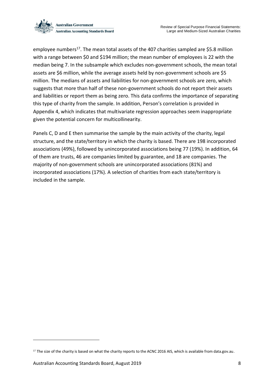

employee numbers<sup>17</sup>. The mean total assets of the 407 charities sampled are \$5.8 million with a range between \$0 and \$194 million; the mean number of employees is 22 with the median being 7. In the subsample which excludes non-government schools, the mean total assets are \$6 million, while the average assets held by non-government schools are \$5 million. The medians of assets and liabilities for non-government schools are zero, which suggests that more than half of these non-government schools do not report their assets and liabilities or report them as being zero. This data confirms the importance of separating this type of charity from the sample. In addition, Person's correlation is provided in Appendix 4, which indicates that multivariate regression approaches seem inappropriate given the potential concern for multicollinearity.

Panels C, D and E then summarise the sample by the main activity of the charity, legal structure, and the state/territory in which the charity is based. There are 198 incorporated associations (49%), followed by unincorporated associations being 77 (19%). In addition, 64 of them are trusts, 46 are companies limited by guarantee, and 18 are companies. The majority of non-government schools are unincorporated associations (81%) and incorporated associations (17%). A selection of charities from each state/territory is included in the sample.

<sup>&</sup>lt;sup>17</sup> The size of the charity is based on what the charity reports to the ACNC 2016 AIS, which is available from data.gov.au.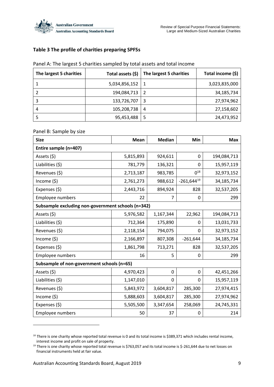

#### **Table 3 The profile of charities preparing SPFSs**

| The largest 5 charities | Total assets (\$) | The largest 5 charities | Total income (\$) |
|-------------------------|-------------------|-------------------------|-------------------|
|                         | 5,034,856,152     |                         | 3,023,835,000     |
|                         | 194,084,713       | -2                      | 34,185,734        |
|                         | 133,726,707       | 3                       | 27,974,962        |
| 4                       | 105,208,738       | 4                       | 27,158,602        |
|                         | 95,453,488        | -5                      | 24,473,952        |

#### Panel A: The largest 5 charities sampled by total assets and total income

#### Panel B: Sample by size

| <b>Size</b>                                        | Mean      | <b>Median</b> | <b>Min</b>      | <b>Max</b>  |
|----------------------------------------------------|-----------|---------------|-----------------|-------------|
| Entire sample (n=407)                              |           |               |                 |             |
| Assets (\$)                                        | 5,815,893 | 924,611       | 0               | 194,084,713 |
| Liabilities $(5)$                                  | 781,779   | 136,321       | 0               | 15,957,119  |
| Revenues (\$)                                      | 2,713,187 | 983,785       | $0^{18}$        | 32,973,152  |
| Income $(5)$                                       | 2,761,273 | 988,612       | $-261,644^{19}$ | 34,185,734  |
| Expenses (\$)                                      | 2,443,716 | 894,924       | 828             | 32,537,205  |
| Employee numbers                                   | 22        | 7             | 0               | 299         |
| Subsample excluding non-government schools (n=342) |           |               |                 |             |
| Assets (\$)                                        | 5,976,582 | 1,167,344     | 22,962          | 194,084,713 |
| Liabilities (\$)                                   | 712,364   | 175,890       | 0               | 13,031,733  |
| Revenues (\$)                                      | 2,118,154 | 794,075       | 0               | 32,973,152  |
| Income $(5)$                                       | 2,166,897 | 807,308       | $-261,644$      | 34,185,734  |
| Expenses (\$)                                      | 1,861,798 | 713,271       | 828             | 32,537,205  |
| Employee numbers                                   | 16        | 5             | 0               | 299         |
| Subsample of non-government schools (n=65)         |           |               |                 |             |
| Assets (\$)                                        | 4,970,423 | 0             | 0               | 42,451,266  |
| Liabilities (\$)                                   | 1,147,010 | 0             | 0               | 15,957,119  |
| Revenues (\$)                                      | 5,843,972 | 3,604,817     | 285,300         | 27,974,415  |
| Income (\$)                                        | 5,888,603 | 3,604,817     | 285,300         | 27,974,962  |
| Expenses (\$)                                      | 5,505,500 | 3,347,654     | 258,069         | 24,745,331  |
| <b>Employee numbers</b>                            | 50        | 37            | 0               | 214         |

<sup>&</sup>lt;sup>18</sup> There is one charity whose reported total revenue is 0 and its total income is \$389,371 which includes rental income, interest income and profit on sale of property.

<sup>&</sup>lt;sup>19</sup> There is one charity whose reported total revenue is \$763,057 and its total income is \$-261,644 due to net losses on financial instruments held at fair value.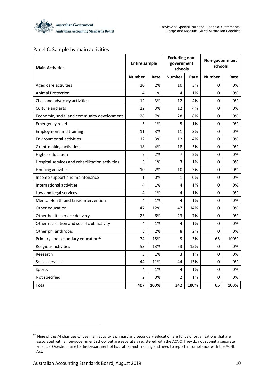

#### Panel C: Sample by main activities

| <b>Main Activities</b>                          | <b>Entire sample</b> |      | <b>Excluding non-</b><br>government<br>schools |      | Non-government<br>schools |      |  |
|-------------------------------------------------|----------------------|------|------------------------------------------------|------|---------------------------|------|--|
|                                                 | <b>Number</b>        | Rate | <b>Number</b>                                  | Rate | <b>Number</b>             | Rate |  |
| Aged care activities                            | 10                   | 2%   | 10                                             | 3%   | 0                         | 0%   |  |
| <b>Animal Protection</b>                        | 4                    | 1%   | 4                                              | 1%   | 0                         | 0%   |  |
| Civic and advocacy activities                   | 12                   | 3%   | 12                                             | 4%   | $\mathbf 0$               | 0%   |  |
| Culture and arts                                | 12                   | 3%   | 12                                             | 4%   | 0                         | 0%   |  |
| Economic, social and community development      | 28                   | 7%   | 28                                             | 8%   | 0                         | 0%   |  |
| <b>Emergency relief</b>                         | 5                    | 1%   | 5                                              | 1%   | 0                         | 0%   |  |
| <b>Employment and training</b>                  | 11                   | 3%   | 11                                             | 3%   | 0                         | 0%   |  |
| <b>Environmental activities</b>                 | 12                   | 3%   | 12                                             | 4%   | 0                         | 0%   |  |
| Grant-making activities                         | 18                   | 4%   | 18                                             | 5%   | 0                         | 0%   |  |
| Higher education                                | 7                    | 2%   | $\overline{7}$                                 | 2%   | 0                         | 0%   |  |
| Hospital services and rehabilitation activities | 3                    | 1%   | 3                                              | 1%   | 0                         | 0%   |  |
| Housing activities                              | 10                   | 2%   | 10                                             | 3%   | 0                         | 0%   |  |
| Income support and maintenance                  | 1                    | 0%   | 1                                              | 0%   | 0                         | 0%   |  |
| International activities                        | 4                    | 1%   | 4                                              | 1%   | 0                         | 0%   |  |
| Law and legal services                          | 4                    | 1%   | 4                                              | 1%   | 0                         | 0%   |  |
| Mental Health and Crisis Intervention           | 4                    | 1%   | 4                                              | 1%   | 0                         | 0%   |  |
| Other education                                 | 47                   | 12%  | 47                                             | 14%  | 0                         | 0%   |  |
| Other health service delivery                   | 23                   | 6%   | 23                                             | 7%   | 0                         | 0%   |  |
| Other recreation and social club activity       | 4                    | 1%   | 4                                              | 1%   | 0                         | 0%   |  |
| Other philanthropic                             | 8                    | 2%   | 8                                              | 2%   | $\mathbf 0$               | 0%   |  |
| Primary and secondary education <sup>20</sup>   | 74                   | 18%  | 9                                              | 3%   | 65                        | 100% |  |
| Religious activities                            | 53                   | 13%  | 53                                             | 15%  | 0                         | 0%   |  |
| Research                                        | 3                    | 1%   | 3                                              | 1%   | 0                         | 0%   |  |
| Social services                                 | 44                   | 11%  | 44                                             | 13%  | 0                         | 0%   |  |
| Sports                                          | 4                    | 1%   | 4                                              | 1%   | 0                         | 0%   |  |
| Not specified                                   | 2                    | 0%   | $\mathfrak{p}$                                 | 1%   | 0                         | 0%   |  |
| <b>Total</b>                                    | 407                  | 100% | 342                                            | 100% | 65                        | 100% |  |

<sup>&</sup>lt;sup>20</sup> Nine of the 74 charities whose main activity is primary and secondary education are funds or organisations that are associated with a non-government school but are separately registered with the ACNC. They do not submit a separate Financial Questionnaire to the Department of Education and Training and need to report in compliance with the ACNC Act.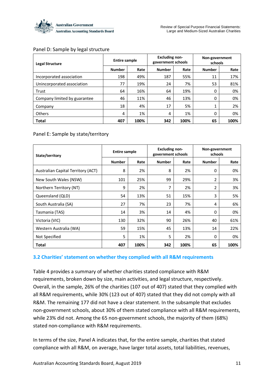

#### Panel D: Sample by legal structure

| <b>Legal Structure</b>       | <b>Entire sample</b> |      | <b>Excluding non-</b><br>government schools |      | Non-government<br>schools |      |  |
|------------------------------|----------------------|------|---------------------------------------------|------|---------------------------|------|--|
|                              | <b>Number</b>        | Rate | <b>Number</b>                               | Rate | <b>Number</b>             | Rate |  |
| Incorporated association     | 198                  | 49%  | 187                                         | 55%  | 11                        | 17%  |  |
| Unincorporated association   | 77                   | 19%  | 24                                          | 7%   | 53                        | 81%  |  |
| Trust                        | 64                   | 16%  | 64                                          | 19%  | 0                         | 0%   |  |
| Company limited by guarantee | 46                   | 11%  | 46                                          | 13%  | 0                         | 0%   |  |
| Company                      | 18                   | 4%   | 17                                          | 5%   | ┻                         | 2%   |  |
| Others                       | 4                    | 1%   | 4                                           | 1%   | 0                         | 0%   |  |
| <b>Total</b>                 | 407                  | 100% | 342                                         | 100% | 65                        | 100% |  |

#### Panel E: Sample by state/territory

| State/territory                    | <b>Entire sample</b> |      | <b>Excluding non-</b><br>government schools |      | Non-government<br>schools |      |  |
|------------------------------------|----------------------|------|---------------------------------------------|------|---------------------------|------|--|
|                                    | <b>Number</b>        | Rate | <b>Number</b>                               | Rate | <b>Number</b>             | Rate |  |
| Australian Capital Territory (ACT) | 8                    | 2%   | 8                                           | 2%   | 0                         | 0%   |  |
| New South Wales (NSW)              | 101                  | 25%  | 99                                          | 29%  | 2                         | 3%   |  |
| Northern Territory (NT)            | 9                    | 2%   | 7                                           | 2%   | 2                         | 3%   |  |
| Queensland (QLD)                   | 54                   | 13%  | 51                                          | 15%  | 3                         | 5%   |  |
| South Australia (SA)               | 27                   | 7%   | 23                                          | 7%   | 4                         | 6%   |  |
| Tasmania (TAS)                     | 14                   | 3%   | 14                                          | 4%   | 0                         | 0%   |  |
| Victoria (VIC)                     | 130                  | 32%  | 90                                          | 26%  | 40                        | 61%  |  |
| Western Australia (WA)             | 59                   | 15%  | 45                                          | 13%  | 14                        | 22%  |  |
| Not Specified                      | 5                    | 1%   | 5                                           | 2%   | 0                         | 0%   |  |
| <b>Total</b>                       | 407                  | 100% | 342                                         | 100% | 65                        | 100% |  |

#### <span id="page-18-0"></span>**3.2 Charities' statement on whether they complied with all R&M requirements**

Table 4 provides a summary of whether charities stated compliance with R&M requirements, broken down by size, main activities, and legal structure, respectively. Overall, in the sample, 26% of the charities (107 out of 407) stated that they complied with all R&M requirements, while 30% (123 out of 407) stated that they did not comply with all R&M. The remaining 177 did not have a clear statement. In the subsample that excludes non-government schools, about 30% of them stated compliance with all R&M requirements, while 23% did not. Among the 65 non-government schools, the majority of them (68%) stated non-compliance with R&M requirements.

In terms of the size, Panel A indicates that, for the entire sample, charities that stated compliance with all R&M, on average, have larger total assets, total liabilities, revenues,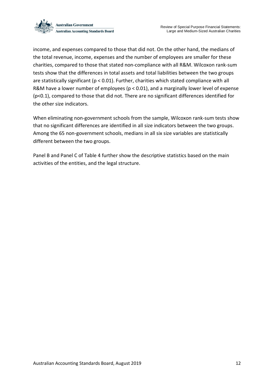

income, and expenses compared to those that did not. On the other hand, the medians of the total revenue, income, expenses and the number of employees are smaller for these charities, compared to those that stated non-compliance with all R&M. Wilcoxon rank-sum tests show that the differences in total assets and total liabilities between the two groups are statistically significant (p < 0.01). Further, charities which stated compliance with all R&M have a lower number of employees (p < 0.01), and a marginally lower level of expense (p<0.1), compared to those that did not. There are no significant differences identified for the other size indicators.

When eliminating non-government schools from the sample, Wilcoxon rank-sum tests show that no significant differences are identified in all size indicators between the two groups. Among the 65 non-government schools, medians in all six size variables are statistically different between the two groups.

Panel B and Panel C of Table 4 further show the descriptive statistics based on the main activities of the entities, and the legal structure.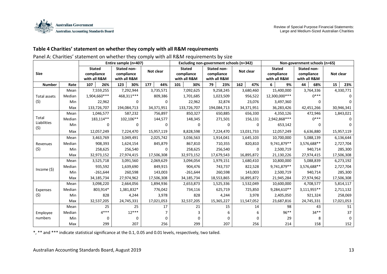

#### **Table 4 Charities' statement on whether they comply with all R&M requirements**

#### Panel A: Charities' statement on whether they comply with all R&M requirements by size

|                    |        |                                             |              | Entire sample (n=407)                            |           |           |            |             | Excluding non-government schools (n=342)    |         |                                           |     |             |   | Non-government schools (n=65)               |                                           |             |           |             |  |            |  |            |  |           |  |           |
|--------------------|--------|---------------------------------------------|--------------|--------------------------------------------------|-----------|-----------|------------|-------------|---------------------------------------------|---------|-------------------------------------------|-----|-------------|---|---------------------------------------------|-------------------------------------------|-------------|-----------|-------------|--|------------|--|------------|--|-----------|--|-----------|
| <b>Size</b>        |        | <b>Stated</b><br>compliance<br>with all R&M |              | <b>Stated non-</b><br>compliance<br>with all R&M |           |           | Not clear  |             | <b>Stated</b><br>compliance<br>with all R&M |         | Stated non-<br>compliance<br>with all R&M |     | Not clear   |   | <b>Stated</b><br>compliance<br>with all R&M | Stated non-<br>compliance<br>with all R&M |             | Not clear |             |  |            |  |            |  |           |  |           |
| <b>Number</b>      | Rate   | 107                                         | 26%          | 123                                              | 30%       | 177       | 44%        | 101         | 30%                                         | 79      | 23%                                       | 162 | 47%         | 6 | 9%                                          | 44                                        | 68%         | 15        | 23%         |  |            |  |            |  |           |  |           |
|                    | Mean   |                                             | 7,559,255    | 7,292,944                                        |           |           | 3,735,571  | 7,092,625   |                                             |         | 9,258,245                                 |     | 3,680,460   |   | 15,400,000                                  |                                           | 3,764,336   |           | 4,330,771   |  |            |  |            |  |           |  |           |
| Total assets       | Median |                                             | 1,904,660*** | 468,311***                                       |           |           | 809,386    |             | 1,701,685                                   |         | 1,023,509                                 |     | 956,522     |   | 12,300,000***                               |                                           | $0***$      |           | $\Omega$    |  |            |  |            |  |           |  |           |
| (5)                | Min    |                                             | 22,962       |                                                  | 0         |           | 0          | 22,962      |                                             |         | 32,874                                    |     | 23,076      |   | 3,497,360                                   |                                           | 0           |           | $\Omega$    |  |            |  |            |  |           |  |           |
|                    | Max    |                                             | 133,726,707  | 194,084,713                                      |           |           | 34,371,951 | 133,726,707 |                                             |         |                                           |     | 194,084,713 |   | 34,371,951                                  |                                           | 36,283,426  |           | 42,451,266  |  | 30,946,341 |  |            |  |           |  |           |
|                    | Mean   | 1,046,577                                   |              |                                                  | 587,232   |           | 756,897    |             |                                             | 850,327 |                                           |     | 650,885     |   | 656,330                                     |                                           | 4,350,126   |           | 472,946     |  | 1,843,021  |  |            |  |           |  |           |
| Total              | Median |                                             | 183,114**    | 102,106**                                        |           |           | 144,577    |             | 148,345                                     |         | 271,501                                   |     | 156,131     |   | 2,942,868***                                |                                           | $0***$      |           | $\Omega$    |  |            |  |            |  |           |  |           |
| Liabilities<br>(5) | Min    |                                             | 0            |                                                  | 0         |           |            |             |                                             |         |                                           |     | $\Omega$    |   | 653,142                                     |                                           |             |           |             |  |            |  |            |  |           |  |           |
|                    | Max    |                                             | 12,057,249   | 7,224,470                                        |           |           | 15,957,119 |             | 8,828,598                                   |         | 7,224,470                                 |     | 13,031,733  |   | 12,057,249                                  |                                           | 6,636,880   |           | 15,957,119  |  |            |  |            |  |           |  |           |
|                    | Mean   | 3,463,769                                   |              |                                                  | 3,049,491 |           | 2,025,742  |             | 3,036,563                                   |         | 1,914,041                                 |     | 1,645,103   |   | 10,700,000                                  |                                           | 5,088,139   |           | 6,136,644   |  |            |  |            |  |           |  |           |
| Revenues           | Median |                                             | 908,393      |                                                  | 1,624,154 |           | 845,879    |             | 867,810                                     |         |                                           |     | 710,355     |   | 820,810                                     |                                           | 9,741,879** |           | 3,576,688** |  | 2,727,704  |  |            |  |           |  |           |
| (5)                | Min    |                                             | 258,625      |                                                  | 256,540   |           | ŋ          |             | 258,625                                     |         | 256,540                                   |     | 0           |   | 2,500,719                                   |                                           | 940,714     | 285,300   |             |  |            |  |            |  |           |  |           |
|                    | Max    | 32,973,152                                  |              | 27,974,415                                       |           |           | 17,506,308 |             | 32,973,152                                  |         | 17,679,543                                |     | 16,895,872  |   | 21,130,226                                  |                                           | 27,974,415  |           | 17,506,308  |  |            |  |            |  |           |  |           |
|                    | Mean   |                                             | 3,525,718    | 3,091,560                                        |           | 2,069,629 |            |             |                                             |         |                                           |     |             |   |                                             |                                           | 3,094,054   |           | 1,979,151   |  | 1,680,410  |  | 10,800,000 |  | 5,088,839 |  | 6,273,192 |
| Income $(5)$       | Median |                                             | 935,592      | 1,639,690                                        |           |           | 849,915    |             | 904,476                                     |         | 743,737                                   |     | 822,528     |   | 9,741,879**                                 |                                           | 3,576,688** |           | 2,727,704   |  |            |  |            |  |           |  |           |
|                    | Min    |                                             | $-261,644$   | 260,598                                          |           |           | 143,003    |             | $-261,644$                                  |         | 260,598                                   |     | 143,003     |   | 2,500,719                                   |                                           | 940,714     |           | 285,300     |  |            |  |            |  |           |  |           |
|                    | Max    |                                             | 34,185,734   | 27,974,962                                       |           |           | 17,506,308 |             | 34,185,734                                  |         | 18,553,865                                |     | 16,895,872  |   | 21,945,284                                  |                                           | 27,974,962  |           | 17,506,308  |  |            |  |            |  |           |  |           |
|                    | Mean   |                                             | 3,098,220    | 2,664,056                                        |           |           | 1,894,936  |             | 2,653,873                                   |         | 1,525,336                                 |     | 1,532,049   |   | 10,600,000                                  |                                           | 4,708,577   |           | 5,814,117   |  |            |  |            |  |           |  |           |
| Expenses           | Median |                                             | 803,914*     | 1,381,832*                                       |           |           | 776,042    |             | 734,116                                     |         | 625,719                                   |     | 725,850     |   | 9,284,610**                                 |                                           | 3,111,955** |           | 2,711,132   |  |            |  |            |  |           |  |           |
| (5)                | Min    |                                             | 828          |                                                  | 4,244     |           | 3,978      |             | 828                                         |         | 4,244                                     |     | 3,978       |   | 2,405,050                                   |                                           | 921,324     |           | 258,069     |  |            |  |            |  |           |  |           |
|                    | Max    |                                             | 32,537,205   | 24,745,331                                       |           |           | 17,021,053 |             | 32,537,205                                  |         | 15,365,227                                |     | 11,547,052  |   | 23,687,816                                  |                                           | 24,745,331  |           | 17,021,053  |  |            |  |            |  |           |  |           |
|                    | Mean   |                                             | 25           |                                                  | 25        |           | 17         |             | 21                                          |         | 15                                        |     | 14          |   | 98                                          |                                           | 43          |           | 51          |  |            |  |            |  |           |  |           |
| Employee           | Median |                                             | $4***$       |                                                  | $12***$   |           |            |             |                                             |         |                                           |     | 6           |   | $96***$                                     |                                           | $34**$      |           | 37          |  |            |  |            |  |           |  |           |
| numbers            | Min    |                                             | 0            |                                                  | 0         |           | ŋ          |             |                                             |         |                                           |     | ŋ           |   | 29                                          |                                           | 8           |           | $\Omega$    |  |            |  |            |  |           |  |           |
|                    | Max    |                                             | 299          |                                                  | 207       |           | 256        |             | 299                                         |         | 207                                       |     | 256         |   | 214                                         |                                           | 158         |           | 152         |  |            |  |            |  |           |  |           |

\*, \*\* and \*\*\* indicate statistical significance at the 0.1, 0.05 and 0.01 levels, respectively, two tailed.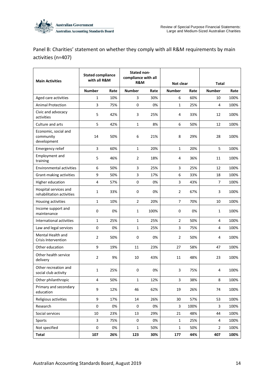

Panel B: Charities' statement on whether they comply with all R&M requirements by main activities (n=407)

| <b>Main Activities</b>                             | <b>Stated compliance</b><br>with all R&M |      | Stated non-<br>compliance with all<br>R&M |      | Not clear      |      | <b>Total</b>   |      |  |
|----------------------------------------------------|------------------------------------------|------|-------------------------------------------|------|----------------|------|----------------|------|--|
|                                                    | <b>Number</b>                            | Rate | <b>Number</b>                             | Rate | <b>Number</b>  | Rate | <b>Number</b>  | Rate |  |
| Aged care activities                               | 1                                        | 10%  | 3                                         | 30%  | 6              | 60%  | 10             | 100% |  |
| <b>Animal Protection</b>                           | 3                                        | 75%  | 0                                         | 0%   | $\mathbf{1}$   | 25%  | 4              | 100% |  |
| Civic and advocacy<br>activities                   | 5                                        | 42%  | 3                                         | 25%  | 4              | 33%  | 12             | 100% |  |
| Culture and arts                                   | 5                                        | 42%  | $\mathbf{1}$                              | 8%   | 6              | 50%  | 12             | 100% |  |
| Economic, social and<br>community<br>development   | 14                                       | 50%  | 6                                         | 21%  | 8              | 29%  | 28             | 100% |  |
| Emergency relief                                   | 3                                        | 60%  | $\mathbf{1}$                              | 20%  | $\mathbf{1}$   | 20%  | 5              | 100% |  |
| Employment and<br>training                         | 5                                        | 46%  | $\overline{2}$                            | 18%  | 4              | 36%  | 11             | 100% |  |
| <b>Environmental activities</b>                    | 6                                        | 50%  | 3                                         | 25%  | 3              | 25%  | 12             | 100% |  |
| Grant-making activities                            | 9                                        | 50%  | 3                                         | 17%  | 6              | 33%  | 18             | 100% |  |
| Higher education                                   | 4                                        | 57%  | 0                                         | 0%   | 3              | 43%  | 7              | 100% |  |
| Hospital services and<br>rehabilitation activities | 1                                        | 33%  | 0                                         | 0%   | $\overline{2}$ | 67%  | 3              | 100% |  |
| Housing activities                                 | 1                                        | 10%  | $\overline{2}$                            | 20%  | $\overline{7}$ | 70%  | 10             | 100% |  |
| Income support and<br>maintenance                  | 0                                        | 0%   | 1                                         | 100% | 0              | 0%   | 1              | 100% |  |
| International activities                           | 1                                        | 25%  | 1                                         | 25%  | $\overline{2}$ | 50%  | 4              | 100% |  |
| Law and legal services                             | 0                                        | 0%   | $\mathbf{1}$                              | 25%  | 3              | 75%  | 4              | 100% |  |
| Mental Health and<br><b>Crisis Intervention</b>    | 2                                        | 50%  | 0                                         | 0%   | $\overline{2}$ | 50%  | 4              | 100% |  |
| Other education                                    | 9                                        | 19%  | 11                                        | 23%  | 27             | 58%  | 47             | 100% |  |
| Other health service<br>delivery                   | $\overline{2}$                           | 9%   | 10                                        | 43%  | 11             | 48%  | 23             | 100% |  |
| Other recreation and<br>social club activity       | 1                                        | 25%  | 0                                         | 0%   | 3              | 75%  | 4              | 100% |  |
| Other philanthropic                                | 4                                        | 50%  | $\mathbf{1}$                              | 12%  | 3              | 38%  | 8              | 100% |  |
| Primary and secondary<br>education                 | 9                                        | 12%  | 46                                        | 62%  | 19             | 26%  | 74             | 100% |  |
| Religious activities                               | 9                                        | 17%  | $14\,$                                    | 26%  | 30             | 57%  | 53             | 100% |  |
| Research                                           | 0                                        | 0%   | 0                                         | 0%   | 3              | 100% | 3              | 100% |  |
| Social services                                    | 10                                       | 23%  | 13                                        | 29%  | 21             | 48%  | 44             | 100% |  |
| Sports                                             | 3                                        | 75%  | 0                                         | 0%   | $\mathbf{1}$   | 25%  | 4              | 100% |  |
| Not specified                                      | 0                                        | 0%   | $\mathbf 1$                               | 50%  | $\mathbf 1$    | 50%  | $\overline{2}$ | 100% |  |
| <b>Total</b>                                       | 107                                      | 26%  | 123                                       | 30%  | 177            | 44%  | 407            | 100% |  |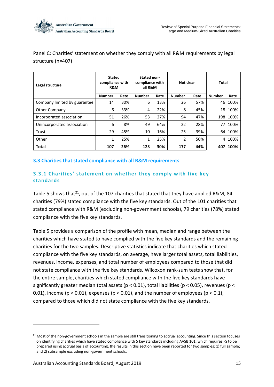Panel C: Charities' statement on whether they comply with all R&M requirements by legal structure (n=407)

| Legal structure              | <b>Stated</b><br>compliance with<br>R&M |      | Stated non-<br>compliance with<br>all R&M |      | Not clear     |      | Total         |      |
|------------------------------|-----------------------------------------|------|-------------------------------------------|------|---------------|------|---------------|------|
|                              | <b>Number</b>                           | Rate | <b>Number</b>                             | Rate | <b>Number</b> | Rate | <b>Number</b> | Rate |
| Company limited by guarantee | 14                                      | 30%  | 6                                         | 13%  | 26            | 57%  | 46            | 100% |
| <b>Other Company</b>         | 6                                       | 33%  | 4                                         | 22%  | 8             | 45%  | 18            | 100% |
| Incorporated association     | 51                                      | 26%  | 53                                        | 27%  | 94            | 47%  | 198           | 100% |
| Unincorporated association   | 6                                       | 8%   | 49                                        | 64%  | 22            | 28%  | 77            | 100% |
| Trust                        | 29                                      | 45%  | 10                                        | 16%  | 25            | 39%  | 64            | 100% |
| Other                        | 1                                       | 25%  | 1                                         | 25%  | 2             | 50%  | 4             | 100% |
| <b>Total</b>                 | 107                                     | 26%  | 123                                       | 30%  | 177           | 44%  | 407           | 100% |

#### <span id="page-22-0"></span>**3.3 Charities that stated compliance with all R&M requirements**

#### <span id="page-22-1"></span>**3.3.1 Charities' statement on whether they comply with five key standards**

Table 5 shows that<sup>21</sup>, out of the 107 charities that stated that they have applied R&M, 84 charities (79%) stated compliance with the five key standards. Out of the 101 charities that stated compliance with R&M (excluding non-government schools), 79 charities (78%) stated compliance with the five key standards.

Table 5 provides a comparison of the profile with mean, median and range between the charities which have stated to have complied with the five key standards and the remaining charities for the two samples. Descriptive statistics indicate that charities which stated compliance with the five key standards, on average, have larger total assets, total liabilities, revenues, income, expenses, and total number of employees compared to those that did not state compliance with the five key standards. Wilcoxon rank-sum tests show that, for the entire sample, charities which stated compliance with the five key standards have significantly greater median total assets (p < 0.01), total liabilities (p < 0.05), revenues (p < 0.01), income ( $p < 0.01$ ), expenses ( $p < 0.01$ ), and the number of employees ( $p < 0.1$ ), compared to those which did not state compliance with the five key standards.

1

<sup>&</sup>lt;sup>21</sup> Most of the non-government schools in the sample are still transitioning to accrual accounting. Since this section focuses on identifying charities which have stated compliance with 5 key standards including AASB 101, which requires FS to be prepared using accrual basis of accounting, the results in this section have been reported for two samples: 1) full sample; and 2) subsample excluding non-government schools.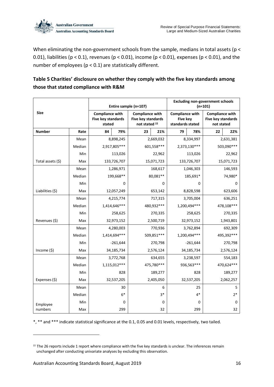

When eliminating the non-government schools from the sample, medians in total assets (p < 0.01), liabilities ( $p < 0.1$ ), revenues ( $p < 0.01$ ), income ( $p < 0.01$ ), expenses ( $p < 0.01$ ), and the number of employees ( $p < 0.1$ ) are statistically different.

### **Table 5 Charities' disclosure on whether they comply with the five key standards among those that stated compliance with R&M**

|                   |        | Entire sample (n=107)                                  | <b>Excluding non-government schools</b><br>$(n=101)$ |                                                               |    |                                                               |    |                                                            |  |
|-------------------|--------|--------------------------------------------------------|------------------------------------------------------|---------------------------------------------------------------|----|---------------------------------------------------------------|----|------------------------------------------------------------|--|
| <b>Size</b>       |        | <b>Compliance with</b><br>Five key standards<br>stated |                                                      | <b>Compliance with</b><br>Five key standards<br>not stated 22 |    | <b>Compliance with</b><br><b>Five key</b><br>standards stated |    | <b>Compliance with</b><br>Five key standards<br>not stated |  |
| <b>Number</b>     | Rate   | 84<br>79%                                              | 23                                                   | 21%                                                           | 79 | 78%                                                           | 22 | 22%                                                        |  |
|                   | Mean   | 8,898,245                                              |                                                      | 2,669,032                                                     |    | 8,334,997                                                     |    | 2,631,381                                                  |  |
|                   | Median | 2,917,805***                                           |                                                      | 601,558 ***                                                   |    | 2,373,130***                                                  |    | 503,090 ***                                                |  |
|                   | Min    | 113,026                                                |                                                      | 22,962                                                        |    | 113,026                                                       |    | 22,962                                                     |  |
| Total assets (\$) | Max    | 133,726,707                                            |                                                      | 15,071,723                                                    |    | 133,726,707                                                   |    | 15,071,723                                                 |  |
|                   | Mean   | 1,286,971                                              |                                                      | 168,617                                                       |    | 1,046,303                                                     |    | 146,593                                                    |  |
|                   | Median | 199,668**                                              |                                                      | 80,081**                                                      |    | 185,691*                                                      |    | 74,980*                                                    |  |
|                   | Min    | 0                                                      |                                                      | $\Omega$                                                      |    | $\Omega$                                                      | 0  |                                                            |  |
| Liabilities (\$)  | Max    | 12,057,249                                             |                                                      | 653,142                                                       |    | 8,828,598                                                     |    | 623,606                                                    |  |
|                   | Mean   | 4,215,774                                              |                                                      | 717,315                                                       |    | 3,705,004                                                     |    | 636,251                                                    |  |
|                   | Median | 1,414,646***                                           |                                                      | 480,932 ***                                                   |    | 1,200,494***                                                  |    | 478,108***                                                 |  |
|                   | Min    | 258,625                                                |                                                      | 270,335                                                       |    | 258,625                                                       |    | 270,335                                                    |  |
| Revenues (\$)     | Max    | 32,973,152                                             |                                                      | 2,500,719                                                     |    | 32,973,152                                                    |    | 1,943,801                                                  |  |
|                   | Mean   | 4,280,003                                              |                                                      | 770,936                                                       |    | 3,762,894                                                     |    | 692,309                                                    |  |
|                   | Median | 1,414,694***                                           |                                                      | 509,851 ***                                                   |    | 1,200,494***                                                  |    | 495,392 ***                                                |  |
|                   | Min    | $-261,644$                                             |                                                      | 270,798                                                       |    | $-261,644$                                                    |    | 270,798                                                    |  |
| Income $(5)$      | Max    | 34,185,734                                             |                                                      | 2,576,124                                                     |    | 34,185,734                                                    |    | 2,576,124                                                  |  |
|                   | Mean   | 3,772,768                                              |                                                      | 634,655                                                       |    | 3,238,597                                                     |    | 554,183                                                    |  |
|                   | Median | 1,115,012***                                           |                                                      | 475,780***                                                    |    | 936,563***                                                    |    | 470,624 ***                                                |  |
|                   | Min    | 828                                                    |                                                      | 189,277                                                       |    | 828                                                           |    | 189,277                                                    |  |
| Expenses (\$)     | Max    | 32,537,205                                             |                                                      | 2,405,050                                                     |    | 32,537,205                                                    |    | 2,062,257                                                  |  |
|                   | Mean   | 30                                                     |                                                      | 6                                                             |    | 25                                                            |    | 5                                                          |  |
|                   | Median | $6*$                                                   |                                                      | $3*$                                                          |    | $4*$                                                          |    | $2*$                                                       |  |
| Employee          | Min    | 0                                                      |                                                      | 0                                                             |    | 0                                                             |    | 0                                                          |  |
| numbers           | Max    | 299                                                    |                                                      | 32                                                            |    | 299                                                           |    | 32                                                         |  |

\*, \*\* and \*\*\* indicate statistical significance at the 0.1, 0.05 and 0.01 levels, respectively, two tailed.

 $22$  The 26 reports include 1 report where compliance with the five key standards is unclear. The inferences remain unchanged after conducting univariate analyses by excluding this observation.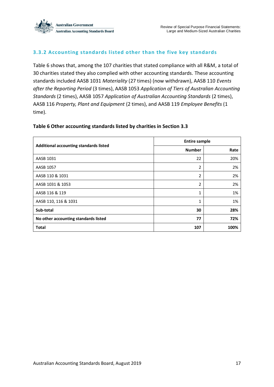

#### <span id="page-24-0"></span>**3.3.2 Accounting standards listed other than the five key standards**

Table 6 shows that, among the 107 charities that stated compliance with all R&M, a total of 30 charities stated they also complied with other accounting standards. These accounting standards included AASB 1031 *Materiality* (27 times) (now withdrawn), AASB 110 *Events after the Reporting Period* (3 times), AASB 1053 *Application of Tiers of Australian Accounting Standards* (2 times), AASB 1057 *Application of Australian Accounting Standards* (2 times), AASB 116 *Property, Plant and Equipment* (2 times), and AASB 119 *Employee Benefits* (1 time).

#### **Table 6 Other accounting standards listed by charities in Section 3.3**

|                                        | <b>Entire sample</b> |      |
|----------------------------------------|----------------------|------|
| Additional accounting standards listed | <b>Number</b>        | Rate |
| AASB 1031                              | 22                   | 20%  |
| <b>AASB 1057</b>                       | 2                    | 2%   |
| AASB 110 & 1031                        | 2                    | 2%   |
| AASB 1031 & 1053                       | 2                    | 2%   |
| AASB 116 & 119                         | 1                    | 1%   |
| AASB 110, 116 & 1031                   | 1                    | 1%   |
| Sub-total                              | 30                   | 28%  |
| No other accounting standards listed   | 77                   | 72%  |
| <b>Total</b>                           | 107                  | 100% |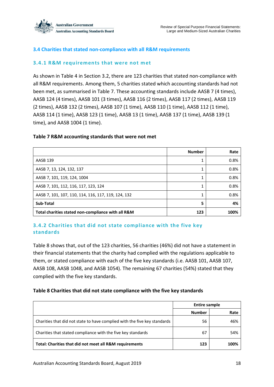

#### <span id="page-25-0"></span>**3.4 Charities that stated non-compliance with all R&M requirements**

#### <span id="page-25-1"></span>**3.4.1 R&M requirements that were not met**

As shown in Table 4 in Section 3.2, there are 123 charities that stated non-compliance with all R&M requirements. Among them, 5 charities stated which accounting standards had not been met, as summarised in Table 7. These accounting standards include AASB 7 (4 times), AASB 124 (4 times), AASB 101 (3 times), AASB 116 (2 times), AASB 117 (2 times), AASB 119 (2 times), AASB 132 (2 times), AASB 107 (1 time), AASB 110 (1 time), AASB 112 (1 time), AASB 114 (1 time), AASB 123 (1 time), AASB 13 (1 time), AASB 137 (1 time), AASB 139 (1 time), and AASB 1004 (1 time).

#### **Table 7 R&M accounting standards that were not met**

|                                                     | <b>Number</b> | Rate |
|-----------------------------------------------------|---------------|------|
| <b>AASB 139</b>                                     |               | 0.8% |
| AASB 7, 13, 124, 132, 137                           |               | 0.8% |
| AASB 7, 101, 119, 124, 1004                         |               | 0.8% |
| AASB 7, 101, 112, 116, 117, 123, 124                |               | 0.8% |
| AASB 7, 101, 107, 110, 114, 116, 117, 119, 124, 132 |               | 0.8% |
| Sub-Total                                           | 5             | 4%   |
| Total charities stated non-compliance with all R&M  | 123           | 100% |

#### <span id="page-25-2"></span>**3.4.2 Charities that did not state compliance with the five key standards**

Table 8 shows that, out of the 123 charities, 56 charities (46%) did not have a statement in their financial statements that the charity had complied with the regulations applicable to them, or stated compliance with each of the five key standards (i.e. AASB 101, AASB 107, AASB 108, AASB 1048, and AASB 1054). The remaining 67 charities (54%) stated that they complied with the five key standards.

#### **Table 8 Charities that did not state compliance with the five key standards**

|                                                                           | <b>Entire sample</b> |      |  |
|---------------------------------------------------------------------------|----------------------|------|--|
|                                                                           | <b>Number</b>        | Rate |  |
| Charities that did not state to have complied with the five key standards | 56                   | 46%  |  |
| Charities that stated compliance with the five key standards              | 67                   | 54%  |  |
| Total: Charities that did not meet all R&M requirements                   | 123                  | 100% |  |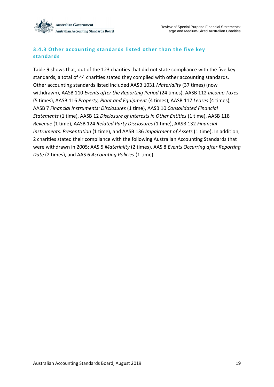

#### <span id="page-26-0"></span>**3.4.3 Other accounting standards listed other than the five key standards**

Table 9 shows that, out of the 123 charities that did not state compliance with the five key standards, a total of 44 charities stated they complied with other accounting standards. Other accounting standards listed included AASB 1031 *Materiality* (37 times) (now withdrawn), AASB 110 *Events after the Reporting Period* (24 times), AASB 112 *Income Taxes*  (5 times), AASB 116 *Property, Plant and Equipment* (4 times), AASB 117 *Leases* (4 times), AASB 7 *Financial Instruments: Disclosures* (1 time), AASB 10 *Consolidated Financial Statements* (1 time), AASB 12 *Disclosure of Interests in Other Entities* (1 time), AASB 118 *Revenue* (1 time), AASB 124 *Related Party Disclosures* (1 time), AASB 132 *Financial Instruments: Presentation* (1 time), and AASB 136 *Impairment of Assets* (1 time). In addition, 2 charities stated their compliance with the following Australian Accounting Standards that were withdrawn in 2005: AAS 5 *Materiality* (2 times), AAS 8 *Events Occurring after Reporting Date* (2 times), and AAS 6 *Accounting Policies* (1 time).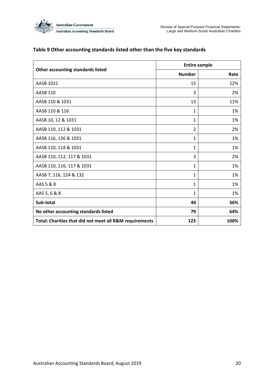

|                                                         |                | <b>Entire sample</b> |
|---------------------------------------------------------|----------------|----------------------|
| <b>Other accounting standards listed</b>                | <b>Number</b>  | Rate                 |
| AASB 1031                                               | 15             | 12%                  |
| <b>AASB 110</b>                                         | 3              | 2%                   |
| AASB 110 & 1031                                         | 13             | 11%                  |
| AASB 110 & 116                                          | $\mathbf{1}$   | 1%                   |
| AASB 10, 12 & 1031                                      | 1              | 1%                   |
| AASB 110, 112 & 1031                                    | $\overline{2}$ | 2%                   |
| AASB 116, 136 & 1031                                    | 1              | 1%                   |
| AASB 110, 118 & 1031                                    | 1              | 1%                   |
| AASB 110, 112, 117 & 1031                               | 3              | 2%                   |
| AASB 110, 116, 117 & 1031                               | $\mathbf{1}$   | 1%                   |
| AASB 7, 116, 124 & 132                                  | 1              | 1%                   |
| AAS 5 & 8                                               | 1              | 1%                   |
| AAS 5, 6 & 8                                            | 1              | 1%                   |
| Sub-total                                               | 44             | 36%                  |
| No other accounting standards listed                    | 79             | 64%                  |
| Total: Charities that did not meet all R&M requirements | 123            | 100%                 |

#### **Table 9 Other accounting standards listed other than the five key standards**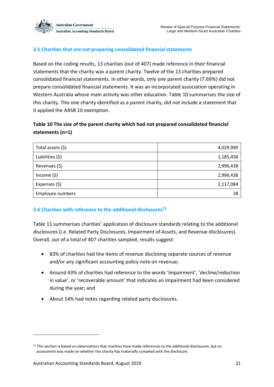

#### <span id="page-28-0"></span>**3.5 Charities that are not preparing consolidated financial statements**

Based on the coding results, 13 charities (out of 407) made reference in their financial statements that the charity was a parent charity. Twelve of the 13 charities prepared consolidated financial statements. In other words, only one parent charity (7.69%) did not prepare consolidated financial statements. It was an incorporated association operating in Western Australia whose main activity was other education. Table 10 summarises the size of this charity. This one charity identified as a parent charity, did not include a statement that it applied the AASB 10 exemption.

#### **Table 10 The size of the parent charity which had not prepared consolidated financial statements (n=1)**

| Total assets (\$) | 4,029,990 |
|-------------------|-----------|
| Liabilities (\$)  | 1,185,458 |
| Revenues (\$)     | 2,996,438 |
| Income $(5)$      | 2,996,438 |
| Expenses (\$)     | 2,117,084 |
| Employee numbers  | 28        |

#### <span id="page-28-1"></span>**3.6 Charities with reference to the additional disclosures<sup>23</sup>**

Table 11 summarises charities' application of disclosure standards relating to the additional disclosures (i.e. Related Party Disclosures, Impairment of Assets, and Revenue disclosures). Overall, out of a total of 407 charities sampled, results suggest:

- 83% of charities had line items of revenue disclosing separate sources of revenue and/or any significant accounting policy note on revenue;
- Around 43% of charities had reference to the words 'impairment', 'decline/reduction in value', or 'recoverable amount' that indicates an impairment had been considered during the year; and
- About 14% had notes regarding related party disclosures.

<sup>&</sup>lt;sup>23</sup> This section is based on observations that charities have made references to the additional disclosures, but no assessment was made on whether the charity has materially complied with the disclosure.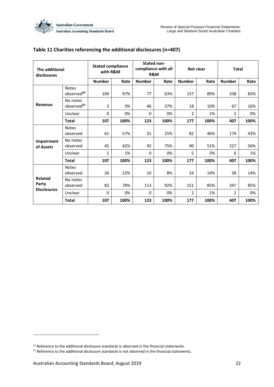| The additional<br>disclosures |                                        | <b>Stated compliance</b><br>with R&M |      | <b>Stated non-</b><br>compliance with all<br>R&M |      | Not clear      |      | <b>Total</b>   |      |
|-------------------------------|----------------------------------------|--------------------------------------|------|--------------------------------------------------|------|----------------|------|----------------|------|
|                               |                                        | <b>Number</b>                        | Rate | <b>Number</b>                                    | Rate | <b>Number</b>  | Rate | <b>Number</b>  | Rate |
| Revenue                       | <b>Notes</b><br>observed <sup>24</sup> | 104                                  | 97%  | 77                                               | 63%  | 157            | 89%  | 338            | 83%  |
|                               | No notes<br>observed <sup>25</sup>     | 3                                    | 3%   | 46                                               | 37%  | 18             | 10%  | 67             | 16%  |
|                               | Unclear                                | 0                                    | 0%   | $\mathbf{0}$                                     | 0%   | 2              | 1%   | $\overline{2}$ | 0%   |
|                               | <b>Total</b>                           | 107                                  | 100% | 123                                              | 100% | 177            | 100% | 407            | 100% |
| Impairment<br>of Assets       | <b>Notes</b><br>observed               | 61                                   | 57%  | 31                                               | 25%  | 82             | 46%  | 174            | 43%  |
|                               | No notes<br>observed                   | 45                                   | 42%  | 92                                               | 75%  | 90             | 51%  | 227            | 56%  |
|                               | Unclear                                | 1                                    | 1%   | $\Omega$                                         | 0%   | 5              | 3%   | 6              | 1%   |
|                               | <b>Total</b>                           | 107                                  | 100% | 123                                              | 100% | 177            | 100% | 407            | 100% |
| <b>Related</b><br>Party       | <b>Notes</b><br>observed               | 24                                   | 22%  | 10                                               | 8%   | 24             | 14%  | 58             | 14%  |
|                               | No notes<br>observed                   | 83                                   | 78%  | 113                                              | 92%  | 151            | 85%  | 347            | 85%  |
| <b>Disclosures</b>            | Unclear                                | $\mathbf{0}$                         | 0%   | $\mathbf{0}$                                     | 0%   | $\overline{2}$ | 1%   | $\overline{2}$ | 0%   |
|                               | <b>Total</b>                           | 107                                  | 100% | 123                                              | 100% | 177            | 100% | 407            | 100% |

#### **Table 11 Charities referencing the additional disclosures (n=407)**

 $24$  Reference to the additional disclosure standards is observed in the financial statements.

<sup>&</sup>lt;sup>25</sup> Reference to the additional disclosure standards is not observed in the financial statements.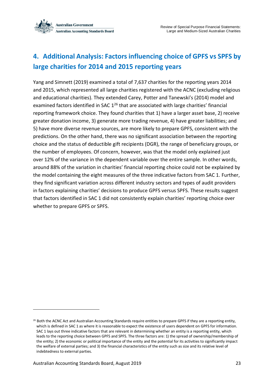

# <span id="page-30-0"></span>**4. Additional Analysis: Factors influencing choice of GPFS vs SPFS by large charities for 2014 and 2015 reporting years**

Yang and Simnett (2019) examined a total of 7,637 charities for the reporting years 2014 and 2015, which represented all large charities registered with the ACNC (excluding religious and educational charities). They extended Carey, Potter and Tanewski's (2014) model and examined factors identified in SAC 1<sup>26</sup> that are associated with large charities' financial reporting framework choice. They found charities that 1) have a larger asset base, 2) receive greater donation income, 3) generate more trading revenue, 4) have greater liabilities; and 5) have more diverse revenue sources, are more likely to prepare GPFS, consistent with the predictions. On the other hand, there was no significant association between the reporting choice and the status of deductible gift recipients (DGR), the range of beneficiary groups, or the number of employees. Of concern, however, was that the model only explained just over 12% of the variance in the dependent variable over the entire sample. In other words, around 88% of the variation in charities' financial reporting choice could not be explained by the model containing the eight measures of the three indicative factors from SAC 1. Further, they find significant variation across different industry sectors and types of audit providers in factors explaining charities' decisions to produce GPFS versus SPFS. These results suggest that factors identified in SAC 1 did not consistently explain charities' reporting choice over whether to prepare GPFS or SPFS.

<sup>&</sup>lt;sup>26</sup> Both the ACNC Act and Australian Accounting Standards require entities to prepare GPFS if they are a reporting entity, which is defined in SAC 1 as where it is reasonable to expect the existence of users dependent on GPFS for information. SAC 1 lays out three indicative factors that are relevant in determining whether an entity is a reporting entity, which leads to the reporting choice between GPFS and SPFS. The three factors are: 1) the spread of ownership/membership of the entity; 2) the economic or political importance of the entity and the potential for its activities to significantly impact the welfare of external parties; and 3) the financial characteristics of the entity such as size and its relative level of indebtedness to external parties.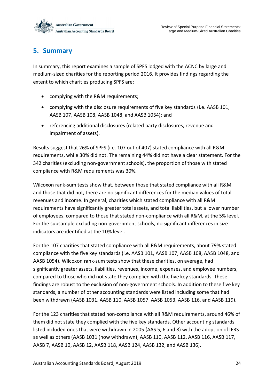

### <span id="page-31-0"></span>**5. Summary**

In summary, this report examines a sample of SPFS lodged with the ACNC by large and medium-sized charities for the reporting period 2016. It provides findings regarding the extent to which charities producing SPFS are:

- complying with the R&M requirements;
- complying with the disclosure requirements of five key standards (i.e. AASB 101, AASB 107, AASB 108, AASB 1048, and AASB 1054); and
- referencing additional disclosures (related party disclosures, revenue and impairment of assets).

Results suggest that 26% of SPFS (i.e. 107 out of 407) stated compliance with all R&M requirements, while 30% did not. The remaining 44% did not have a clear statement. For the 342 charities (excluding non-government schools), the proportion of those with stated compliance with R&M requirements was 30%.

Wilcoxon rank-sum tests show that, between those that stated compliance with all R&M and those that did not, there are no significant differences for the median values of total revenues and income. In general, charities which stated compliance with all R&M requirements have significantly greater total assets, and total liabilities, but a lower number of employees, compared to those that stated non-compliance with all R&M, at the 5% level. For the subsample excluding non-government schools, no significant differences in size indicators are identified at the 10% level.

For the 107 charities that stated compliance with all R&M requirements, about 79% stated compliance with the five key standards (i.e. AASB 101, AASB 107, AASB 108, AASB 1048, and AASB 1054). Wilcoxon rank-sum tests show that these charities, on average, had significantly greater assets, liabilities, revenues, income, expenses, and employee numbers, compared to those who did not state they complied with the five key standards. These findings are robust to the exclusion of non-government schools. In addition to these five key standards, a number of other accounting standards were listed including some that had been withdrawn (AASB 1031, AASB 110, AASB 1057, AASB 1053, AASB 116, and AASB 119).

For the 123 charities that stated non-compliance with all R&M requirements, around 46% of them did not state they complied with the five key standards. Other accounting standards listed included ones that were withdrawn in 2005 (AAS 5, 6 and 8) with the adoption of IFRS as well as others (AASB 1031 (now withdrawn), AASB 110, AASB 112, AASB 116, AASB 117, AASB 7, AASB 10, AASB 12, AASB 118, AASB 124, AASB 132, and AASB 136).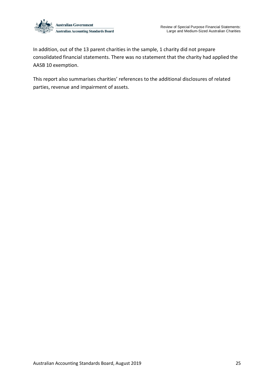

In addition, out of the 13 parent charities in the sample, 1 charity did not prepare consolidated financial statements. There was no statement that the charity had applied the AASB 10 exemption.

This report also summarises charities' references to the additional disclosures of related parties, revenue and impairment of assets.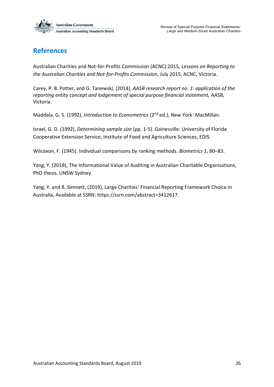

### <span id="page-33-0"></span>**References**

Australian Charities and Not-for-Profits Commission (ACNC) 2015, *Lessons on Reporting to the Australian Charities and Not-for-Profits Commission*, July 2015, ACNC, Victoria.

Carey, P. B. Potter, and G. Tanewski, (2014), *AASB research report no. 1: application of the reporting entity concept and lodgement of special purpose financial statement,* AASB, Victoria.

Maddala, G. S. (1992), *Introduction to Econometrics* (2nd ed.), New York: MacMillan.

Israel, G. D. (1992), *Determining sample size* (pp. 1-5). Gainesville: University of Florida Cooperative Extension Service, Institute of Food and Agriculture Sciences, EDIS.

Wilcoxon, F. (1945). Individual comparisons by ranking methods. *Biometrics* 1, 80–83.

Yang, Y. (2018), The Informational Value of Auditing in Australian Charitable Organisations, PhD thesis, UNSW Sydney.

Yang, Y. and R. Simnett, (2019), Large Charities' Financial Reporting Framework Choice in Australia, Available at SSRN: [https://ssrn.com/abstract=3412617.](https://ssrn.com/abstract=3412617)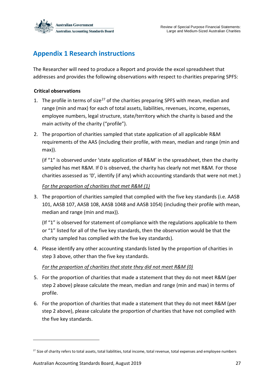

### <span id="page-34-0"></span>**Appendix 1 Research instructions**

The Researcher will need to produce a Report and provide the excel spreadsheet that addresses and provides the following observations with respect to charities preparing SPFS:

#### **Critical observations**

- 1. The profile in terms of size<sup>27</sup> of the charities preparing SPFS with mean, median and range (min and max) for each of total assets, liabilities, revenues, income, expenses, employee numbers, legal structure, state/territory which the charity is based and the main activity of the charity ("profile").
- 2. The proportion of charities sampled that state application of all applicable R&M requirements of the AAS (including their profile, with mean, median and range (min and max)).

(if "1" is observed under 'state application of R&M' in the spreadsheet, then the charity sampled has met R&M. If 0 is observed, the charity has clearly not met R&M. For those charities assessed as '0', identify (if any) which accounting standards that were not met.)

#### *For the proportion of charities that met R&M (1)*

3. The proportion of charities sampled that complied with the five key standards (i.e. AASB 101, AASB 107, AASB 108, AASB 1048 and AASB 1054) (including their profile with mean, median and range (min and max)).

(If "1" is observed for statement of compliance with the regulations applicable to them or "1" listed for all of the five key standards, then the observation would be that the charity sampled has complied with the five key standards).

4. Please identify any other accounting standards listed by the proportion of charities in step 3 above, other than the five key standards.

#### *For the proportion of charities that state they did not meet R&M (0)*

- 5. For the proportion of charities that made a statement that they do not meet R&M (per step 2 above) please calculate the mean, median and range (min and max) in terms of profile.
- 6. For the proportion of charities that made a statement that they do not meet R&M (per step 2 above), please calculate the proportion of charities that have not complied with the five key standards.

1

<sup>&</sup>lt;sup>27</sup> Size of charity refers to total assets, total liabilities, total income, total revenue, total expenses and employee numbers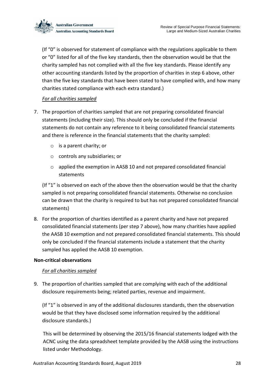

(If "0" is observed for statement of compliance with the regulations applicable to them or "0" listed for all of the five key standards, then the observation would be that the charity sampled has not complied with all the five key standards. Please identify any other accounting standards listed by the proportion of charities in step 6 above, other than the five key standards that have been stated to have complied with, and how many charities stated compliance with each extra standard.)

#### *For all charities sampled*

- 7. The proportion of charities sampled that are not preparing consolidated financial statements (including their size). This should only be concluded if the financial statements do not contain any reference to it being consolidated financial statements and there is reference in the financial statements that the charity sampled:
	- o is a parent charity; or
	- o controls any subsidiaries; or
	- o applied the exemption in AASB 10 and not prepared consolidated financial statements

(If "1" is observed on each of the above then the observation would be that the charity sampled is not preparing consolidated financial statements. Otherwise no conclusion can be drawn that the charity is required to but has not prepared consolidated financial statements)

8. For the proportion of charities identified as a parent charity and have not prepared consolidated financial statements (per step 7 above), how many charities have applied the AASB 10 exemption and not prepared consolidated financial statements. This should only be concluded if the financial statements include a statement that the charity sampled has applied the AASB 10 exemption.

#### **Non-critical observations**

#### *For all charities sampled*

9. The proportion of charities sampled that are complying with each of the additional disclosure requirements being; related parties, revenue and impairment.

(If "1" is observed in any of the additional disclosures standards, then the observation would be that they have disclosed some information required by the additional disclosure standards.)

This will be determined by observing the 2015/16 financial statements lodged with the ACNC using the data spreadsheet template provided by the AASB using the instructions listed under Methodology.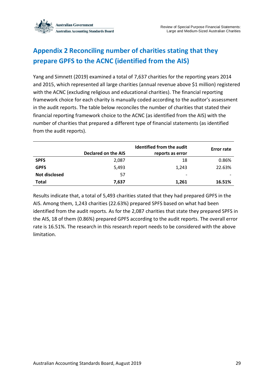

# <span id="page-36-0"></span>**Appendix 2 Reconciling number of charities stating that they prepare GPFS to the ACNC (identified from the AIS)**

Yang and Simnett (2019) examined a total of 7,637 charities for the reporting years 2014 and 2015, which represented all large charities (annual revenue above \$1 million) registered with the ACNC (excluding religious and educational charities). The financial reporting framework choice for each charity is manually coded according to the auditor's assessment in the audit reports. The table below reconciles the number of charities that stated their financial reporting framework choice to the ACNC (as identified from the AIS) with the number of charities that prepared a different type of financial statements (as identified from the audit reports).

|                      | Declared on the AIS | Identified from the audit<br>reports as error | <b>Error rate</b> |
|----------------------|---------------------|-----------------------------------------------|-------------------|
| <b>SPFS</b>          | 2,087               | 18                                            | 0.86%             |
| <b>GPFS</b>          | 5,493               | 1.243                                         | 22.63%            |
| <b>Not disclosed</b> | 57                  | -                                             |                   |
| <b>Total</b>         | 7,637               | 1,261                                         | 16.51%            |

Results indicate that, a total of 5,493 charities stated that they had prepared GPFS in the AIS. Among them, 1,243 charities (22.63%) prepared SPFS based on what had been identified from the audit reports. As for the 2,087 charities that state they prepared SPFS in the AIS, 18 of them (0.86%) prepared GPFS according to the audit reports. The overall error rate is 16.51%. The research in this research report needs to be considered with the above limitation.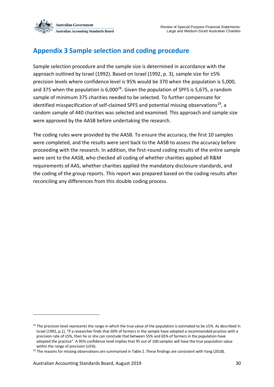

### <span id="page-37-0"></span>**Appendix 3 Sample selection and coding procedure**

Sample selection procedure and the sample size is determined in accordance with the approach outlined by Israel (1992). Based on Israel (1992, p. 3), sample size for ±5% precision levels where confidence level is 95% would be 370 when the population is 5,000, and 375 when the population is  $6,000^{28}$ . Given the population of SPFS is 5,675, a random sample of minimum 375 charities needed to be selected. To further compensate for identified misspecification of self-claimed SPFS and potential missing observations<sup>29</sup>, a random sample of 440 charities was selected and examined. This approach and sample size were approved by the AASB before undertaking the research.

The coding rules were provided by the AASB. To ensure the accuracy, the first 10 samples were completed, and the results were sent back to the AASB to assess the accuracy before proceeding with the research. In addition, the first-round coding results of the entire sample were sent to the AASB, who checked all coding of whether charities applied all R&M requirements of AAS, whether charities applied the mandatory disclosure standards, and the coding of the group reports. This report was prepared based on the coding results after reconciling any differences from this double coding process.

1

 $28$  The precision level represents the range in which the true value of the population is estimated to be  $\pm 5\%$ . As described in Israel (1992, p.1), "if a researcher finds that 60% of farmers in the sample have adopted a recommended practice with a precision rate of ±5%, then he or she can conclude that between 55% and 65% of farmers in the population have adopted the practice". A 95% confidence level implies that 95 out of 100 samples will have the true population value within the range of precision (±5%).

 $29$  The reasons for missing observations are summarised in Table 2. These findings are consistent with Yang (2018).